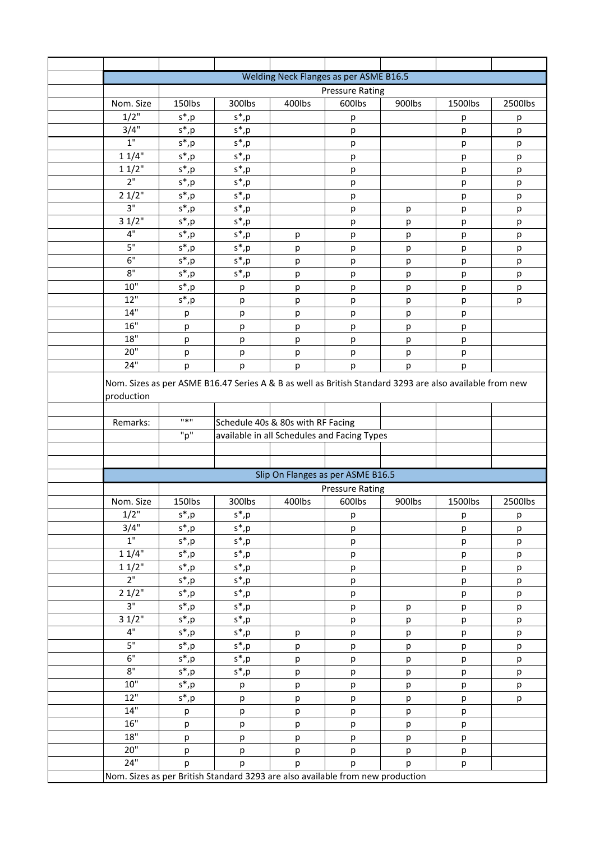| Welding Neck Flanges as per ASME B16.5 |                             |                                                                                                         |                                             |                        |        |         |         |
|----------------------------------------|-----------------------------|---------------------------------------------------------------------------------------------------------|---------------------------------------------|------------------------|--------|---------|---------|
| <b>Pressure Rating</b>                 |                             |                                                                                                         |                                             |                        |        |         |         |
| Nom. Size                              | 150lbs                      | 300lbs                                                                                                  | 400lbs                                      | 600lbs                 | 900lbs | 1500lbs | 2500lbs |
| $1/2$ "                                | $s^*$ , $p$                 | $s^*$ , $p$                                                                                             |                                             | р                      |        | р       | р       |
| 3/4"                                   | $s^*$ , p                   | $s^*$ , p                                                                                               |                                             | р                      |        | р       | р       |
| $1"$                                   | $s^*$ , p                   | $s^*$ , p                                                                                               |                                             | р                      |        | р       | р       |
| 11/4"                                  | $s^*$ , p                   | $s^*$ , p                                                                                               |                                             | р                      |        | р       | p       |
| 11/2"                                  | $s^*$ , p                   | $s^\ast, p$                                                                                             |                                             | р                      |        | р       | р       |
| 2"                                     | $s^*$ , $p$                 | $s^*$ , p                                                                                               |                                             | р                      |        | р       | р       |
| 21/2"                                  | $s^*$ , p                   | $s^*$ , p                                                                                               |                                             | р                      |        | р       | р       |
| 3"                                     | $s^*$ , p                   | $s^*$ , p                                                                                               |                                             | р                      | р      | р       | р       |
| 31/2"                                  | $s^*$ , p                   | $s^*$ , p                                                                                               |                                             | р                      | p      | р       | р       |
| 4"<br>5"                               | $\mathsf{s}^* , \mathsf{p}$ | $s^*$ , p                                                                                               | p                                           | р                      | р      | р       | р       |
| 6"                                     | $s^*$ , p                   | $s^*$ , p                                                                                               | p                                           | р                      | р      | р       | р       |
| 8"                                     | $s^*$ , $p$                 | $s^*$ , p                                                                                               | р                                           | р                      | р      | р       | р       |
| 10"                                    | $s^*$ , p                   | $s^*$ , $p_$                                                                                            | р                                           | р                      | p      | р       | p       |
| 12"                                    | $s^*$ , p<br>$s^*$ , p      | р                                                                                                       | р                                           | р                      | р      | р       | р       |
| 14"                                    |                             | р<br>p                                                                                                  | р<br>p                                      | р<br>р                 | р<br>p | р<br>р  | р       |
| 16"                                    | р<br>р                      | р                                                                                                       | р                                           | р                      | р      | р       |         |
| 18"                                    | р                           | р                                                                                                       | р                                           | р                      | р      | р       |         |
| 20"                                    | р                           | р                                                                                                       | р                                           | р                      | р      | р       |         |
| 24"                                    | р                           | p                                                                                                       | p                                           | р                      | р      | p       |         |
|                                        |                             |                                                                                                         |                                             |                        |        |         |         |
|                                        |                             | Nom. Sizes as per ASME B16.47 Series A & B as well as British Standard 3293 are also available from new |                                             |                        |        |         |         |
| production                             |                             |                                                                                                         |                                             |                        |        |         |         |
| Remarks:                               | $\mathbf{u}$ $\mathbf{v}$   |                                                                                                         | Schedule 40s & 80s with RF Facing           |                        |        |         |         |
|                                        | "p"                         |                                                                                                         | available in all Schedules and Facing Types |                        |        |         |         |
|                                        |                             |                                                                                                         |                                             |                        |        |         |         |
|                                        |                             |                                                                                                         |                                             |                        |        |         |         |
|                                        |                             |                                                                                                         | Slip On Flanges as per ASME B16.5           |                        |        |         |         |
|                                        |                             |                                                                                                         |                                             | <b>Pressure Rating</b> |        |         |         |
| Nom. Size                              | 150lbs                      | 300lbs                                                                                                  | 400lbs                                      | 600lbs                 | 900lbs | 1500lbs | 2500lbs |
| 1/2"                                   | $s^*$ , p                   | $s^*$ , p                                                                                               |                                             | р                      |        | р       | p       |
| 3/4"                                   | $s^*$ , p                   | $s^*$ , p                                                                                               |                                             | p                      |        | р       | р       |
| $1^{\circ}$                            | $s^*$ , p                   | $s^*$ , p                                                                                               |                                             | р                      |        | р       | p       |
| 11/4"                                  | $s^*$ , $p$                 | $s^*$ , $p$                                                                                             |                                             | р                      |        | p       | р       |
| 11/2"                                  | $s^*$ , p                   | $\overline{s}$ <sup>*</sup> , $\underline{p}$                                                           |                                             | р                      |        | p       | р       |
| 2 <sup>n</sup>                         | $s^*$ , p                   | $s^*$ , p                                                                                               |                                             | р                      |        | p       | p       |
| 21/2"                                  | $s^*$ , $p$                 | $s^*$ , p                                                                                               |                                             | р                      |        | p       | p       |
| $\overline{3''}$                       | $s^*$ , p                   | $\mathsf{s}^* , \mathsf{p}$                                                                             |                                             | p                      | p      | p       | p       |
| 31/2"                                  | $s^*$ , p                   | $s^*$ , p                                                                                               |                                             | р                      | p      | р       | р       |
| 4"                                     | $s^*$ , p                   | $s^*$ , p                                                                                               | р                                           | р                      | p      | p       | р       |
| 5"<br>6"                               | $s^*$ , p                   | $\mathsf{s}^*$ ,p                                                                                       | р                                           | р                      | p      | p       | р       |
|                                        | $s^*$ , p                   | $s^*$ , p                                                                                               | р                                           | р                      | р      | р       | р       |
| 8"<br>10"                              | $s^*$ , p                   | $s^*$ , p                                                                                               | p                                           | р                      | p      | р       | p       |
| 12"                                    | $s^*$ , p                   | р                                                                                                       | р                                           | р                      | p      | р       | p       |
| 14"                                    | $s^*$ , p                   | р                                                                                                       | р                                           | р                      | p      | p       | р       |
| 16"                                    | р                           | р                                                                                                       | р                                           | р                      | p      | p       |         |
| 18"                                    | p                           | р                                                                                                       | р                                           | р                      | p      | p       |         |
| 20"                                    | p<br>p                      | p<br>p                                                                                                  | p<br>p                                      | p<br>р                 | p<br>p | р<br>p  |         |
| 24"                                    | р                           | p                                                                                                       | р                                           | р                      | р      | p       |         |
|                                        |                             | Nom. Sizes as per British Standard 3293 are also available from new production                          |                                             |                        |        |         |         |
|                                        |                             |                                                                                                         |                                             |                        |        |         |         |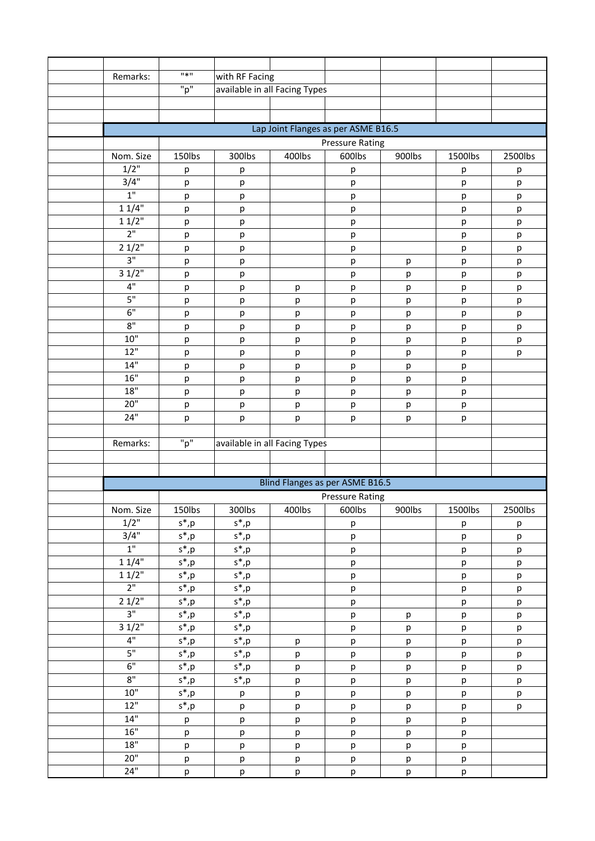| Remarks:        | $11*11$                              | with RF Facing              |        |                                     |        |         |         |  |
|-----------------|--------------------------------------|-----------------------------|--------|-------------------------------------|--------|---------|---------|--|
|                 | "p"<br>available in all Facing Types |                             |        |                                     |        |         |         |  |
|                 |                                      |                             |        |                                     |        |         |         |  |
|                 |                                      |                             |        |                                     |        |         |         |  |
|                 |                                      |                             |        | Lap Joint Flanges as per ASME B16.5 |        |         |         |  |
|                 | <b>Pressure Rating</b>               |                             |        |                                     |        |         |         |  |
| Nom. Size       | 150lbs                               | 300lbs                      | 400lbs | 600lbs                              | 900lbs | 1500lbs | 2500lbs |  |
| $1/2$ "         | р                                    | р                           |        | р                                   |        | р       | р       |  |
| 3/4"            | р                                    | р                           |        | р                                   |        | р       | р       |  |
| 1 <sup>''</sup> | р                                    | р                           |        | р                                   |        | р       | р       |  |
| 11/4"           | р                                    | р                           |        | р                                   |        | р       | р       |  |
| 11/2"           | р                                    | р                           |        | р                                   |        | р       | р       |  |
| 2 <sup>n</sup>  | р                                    | р                           |        | р                                   |        | р       | р       |  |
| 21/2"           | р                                    | р                           |        | р                                   |        | р       | р       |  |
| 3"              | р                                    | р                           |        | р                                   | р      | р       | р       |  |
| 31/2"           | р                                    | р                           |        | р                                   | р      | р       | р       |  |
| 4"              | р                                    | р                           | p      | р                                   | р      | р       | p       |  |
| 5"              | р                                    | р                           | р      | р                                   | р      | р       | р       |  |
| 6"              | р                                    | р                           | p      | р                                   | р      | р       | р       |  |
| $8"$            | р                                    | р                           | р      | р                                   | р      | р       | р       |  |
| 10"             | р                                    | р                           | р      | р                                   | р      | р       | р       |  |
| 12"             | р                                    | р                           | р      | р                                   | р      | р       | р       |  |
| 14"             | р                                    | р                           | р      | р                                   | р      | р       |         |  |
| 16"             | р                                    | р                           | p      | р                                   | р      | р       |         |  |
| 18"             | р                                    | р                           | p      | р                                   | р      | р       |         |  |
| 20"             | р                                    | р                           | р      | р                                   | р      | р       |         |  |
| 24"             | р                                    | р                           | р      | р                                   | р      | p       |         |  |
|                 |                                      |                             |        |                                     |        |         |         |  |
| Remarks:        | "p"<br>available in all Facing Types |                             |        |                                     |        |         |         |  |
|                 |                                      |                             |        |                                     |        |         |         |  |
|                 |                                      |                             |        |                                     |        |         |         |  |
|                 |                                      |                             |        | Blind Flanges as per ASME B16.5     |        |         |         |  |
|                 |                                      |                             |        | <b>Pressure Rating</b>              |        |         |         |  |
| Nom. Size       | 150lbs                               | 300lbs                      | 400lbs | 600lbs                              | 900lbs | 1500lbs | 2500lbs |  |
| 1/2"            | $s^*$ , p                            | $s^*$ , p                   |        | р                                   |        | р       | р       |  |
| 3/4"            | $s^*$ , p                            | $\mathsf{s}^*$ , p          |        | p                                   |        | p       | p       |  |
| 1 <sup>0</sup>  | $s^*$ , $p$                          | $s^*$ , p                   |        | p                                   |        | p       | р       |  |
| 11/4"           | $s^*$ , p                            | $\mathsf{s}^* , \mathsf{p}$ |        | p                                   |        | p       | p       |  |
| 11/2"           | $s^*$ , p                            | $s^*$ , p                   |        | р                                   |        | р       | р       |  |
| 2 <sup>11</sup> | $s^*$ , $p$                          | $s^*$ , p                   |        | p                                   |        | p       | р       |  |
| 21/2"           | $s^*$ , p                            | $s^*$ , p                   |        | p                                   |        | p       | p       |  |
| 3"              | $s^*$ , p                            | $s^*$ , p                   |        | p                                   | р      | р       | р       |  |
| 31/2"           | $s^*$ , p                            | $s^*$ , p                   |        | p                                   | р      | p       | p       |  |
| 4"              | $s^*$ , p                            | $s^*$ , p                   | p      | p                                   | p      | p       | p       |  |
| 5"              | $s^*$ , $p$                          | $s^*$ , p                   | p      | p                                   | p      | p       | p       |  |
| 6"              | $s^*$ , p                            | $s^*$ , p                   | p      | p                                   | p      | p       | p       |  |
| $8^{\circ}$     | $s^*$ , p                            | $\mathsf{s}^* , \mathsf{p}$ | p      | p                                   | p      | p       | p       |  |
| $10"$           | $\overline{s}$ <sup>*</sup> ,p       | p                           | p      | p                                   | p      | p       | p       |  |
| 12"             | $s^*$ , p                            | p                           | p      | p                                   | p      | p       | p       |  |
| 14"             | p                                    | p                           | p      | р                                   | р      | р       |         |  |
| 16"             | p                                    | p                           | p      | p                                   | p      | p       |         |  |
| 18"             | p                                    | p                           | p      | p                                   | p      | p       |         |  |
| 20"             | p                                    | p                           | p      | p                                   | р      | р       |         |  |
| 24"             | p                                    | p                           | p      | p                                   | p      | p       |         |  |
|                 |                                      |                             |        |                                     |        |         |         |  |